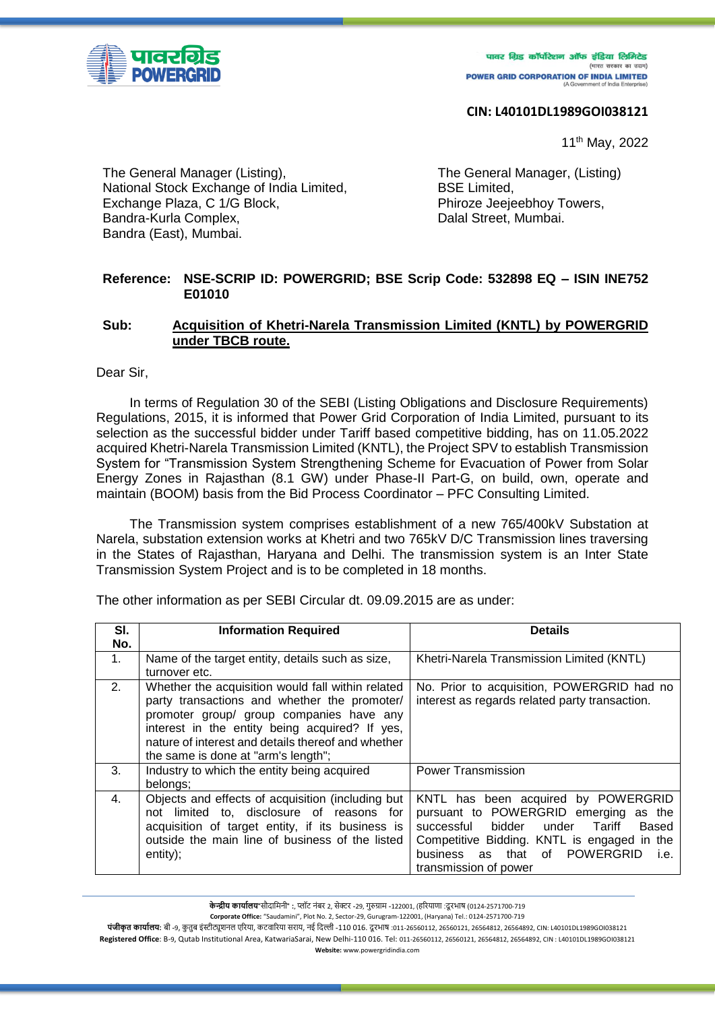

पावर ग्रिड कॉर्पोरेशन ऑफ इंडिया लिमिटेड (भारत सरकार का उद्यम) **POWER GRID CORPORATION OF INDIA LIMITED** 

## **CIN: L40101DL1989GOI038121**

11th May, 2022

The General Manager (Listing), National Stock Exchange of India Limited, Exchange Plaza, C 1/G Block, Bandra-Kurla Complex, Bandra (East), Mumbai.

The General Manager, (Listing) BSE Limited, Phiroze Jeejeebhoy Towers, Dalal Street, Mumbai.

## **Reference: NSE-SCRIP ID: POWERGRID; BSE Scrip Code: 532898 EQ – ISIN INE752 E01010**

## **Sub: Acquisition of Khetri-Narela Transmission Limited (KNTL) by POWERGRID under TBCB route.**

Dear Sir,

In terms of Regulation 30 of the SEBI (Listing Obligations and Disclosure Requirements) Regulations, 2015, it is informed that Power Grid Corporation of India Limited, pursuant to its selection as the successful bidder under Tariff based competitive bidding, has on 11.05.2022 acquired Khetri-Narela Transmission Limited (KNTL), the Project SPV to establish Transmission System for "Transmission System Strengthening Scheme for Evacuation of Power from Solar Energy Zones in Rajasthan (8.1 GW) under Phase-II Part-G, on build, own, operate and maintain (BOOM) basis from the Bid Process Coordinator – PFC Consulting Limited.

The Transmission system comprises establishment of a new 765/400kV Substation at Narela, substation extension works at Khetri and two 765kV D/C Transmission lines traversing in the States of Rajasthan, Haryana and Delhi. The transmission system is an Inter State Transmission System Project and is to be completed in 18 months.

| SI. | <b>Information Required</b>                        | <b>Details</b>                                 |
|-----|----------------------------------------------------|------------------------------------------------|
| No. |                                                    |                                                |
| 1.  | Name of the target entity, details such as size,   | Khetri-Narela Transmission Limited (KNTL)      |
|     | turnover etc.                                      |                                                |
| 2.  | Whether the acquisition would fall within related  | No. Prior to acquisition, POWERGRID had no     |
|     | party transactions and whether the promoter/       | interest as regards related party transaction. |
|     | promoter group/ group companies have any           |                                                |
|     | interest in the entity being acquired? If yes,     |                                                |
|     | nature of interest and details thereof and whether |                                                |
|     | the same is done at "arm's length";                |                                                |
| 3.  | Industry to which the entity being acquired        | <b>Power Transmission</b>                      |
|     | belongs;                                           |                                                |
| 4.  | Objects and effects of acquisition (including but  | KNTL has been acquired by POWERGRID            |
|     | not limited to, disclosure of reasons for          | pursuant to POWERGRID emerging<br>as the       |
|     | acquisition of target entity, if its business is   | Tariff<br>successful bidder<br>under<br>Based  |
|     | outside the main line of business of the listed    | Competitive Bidding. KNTL is engaged in the    |
|     | entity);                                           | business as that of POWERGRID<br>i.e.          |
|     |                                                    | transmission of power                          |

The other information as per SEBI Circular dt. 09.09.2015 are as under:

**Corporate Office:** "Saudamini", Plot No. 2, Sector-29, Gurugram-122001, (Haryana) Tel.: 0124-2571700-719

**पंजीकृत कार्यालयः** बी -9, कुतुब इंस्टीट्यूशनल एरिया, कटवारिया सराय, नई दिल्ली -110 016. दूरभाष :011-26560112, 26560121, 26564812, 26564892, CIN: L40101DL1989GOI038121 **Registered Office**: B-9, Qutab Institutional Area, KatwariaSarai, New Delhi-110 016. Tel: 011-26560112, 26560121, 26564812, 26564892, CIN : L40101DL1989GOI038121 **Website:** www.powergridindia.com

**केन्द्रीय कार्यालय**"सौदामिनी" :, प्लॉट नंबर 2, सेक्टर -29, गुरुग्राम -122001, (हरियाणा :दूरभाष (0124-2571700-719